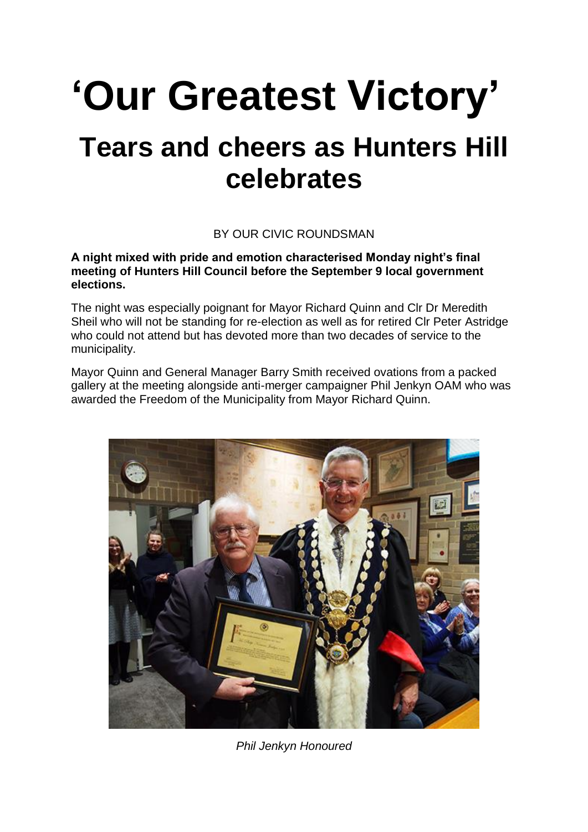## **'Our Greatest Victory' Tears and cheers as Hunters Hill celebrates**

## BY OUR CIVIC ROUNDSMAN

**A night mixed with pride and emotion characterised Monday night's final meeting of Hunters Hill Council before the September 9 local government elections.**

The night was especially poignant for Mayor Richard Quinn and Clr Dr Meredith Sheil who will not be standing for re-election as well as for retired Clr Peter Astridge who could not attend but has devoted more than two decades of service to the municipality.

Mayor Quinn and General Manager Barry Smith received ovations from a packed gallery at the meeting alongside anti-merger campaigner Phil Jenkyn OAM who was awarded the Freedom of the Municipality from Mayor Richard Quinn.



*Phil Jenkyn Honoured*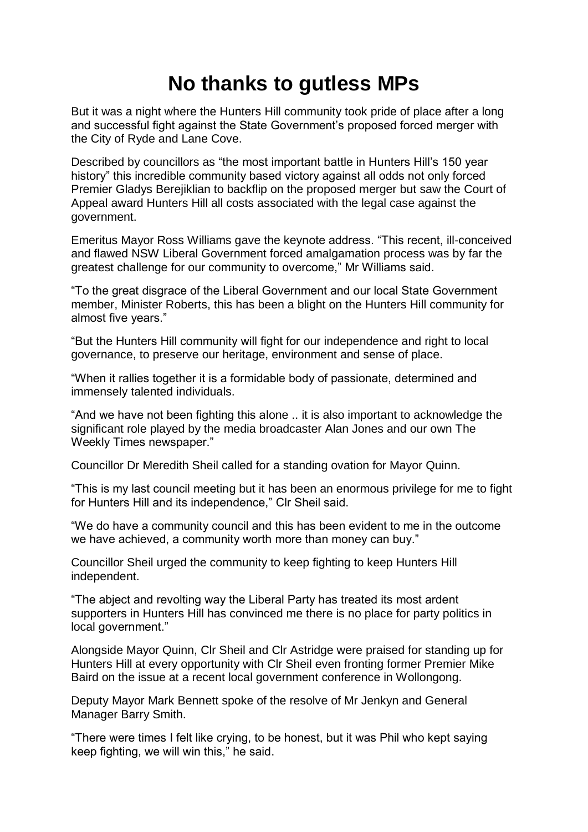## **No thanks to gutless MPs**

But it was a night where the Hunters Hill community took pride of place after a long and successful fight against the State Government's proposed forced merger with the City of Ryde and Lane Cove.

Described by councillors as "the most important battle in Hunters Hill's 150 year history" this incredible community based victory against all odds not only forced Premier Gladys Berejiklian to backflip on the proposed merger but saw the Court of Appeal award Hunters Hill all costs associated with the legal case against the government.

Emeritus Mayor Ross Williams gave the keynote address. "This recent, ill-conceived and flawed NSW Liberal Government forced amalgamation process was by far the greatest challenge for our community to overcome," Mr Williams said.

"To the great disgrace of the Liberal Government and our local State Government member, Minister Roberts, this has been a blight on the Hunters Hill community for almost five years."

"But the Hunters Hill community will fight for our independence and right to local governance, to preserve our heritage, environment and sense of place.

"When it rallies together it is a formidable body of passionate, determined and immensely talented individuals.

"And we have not been fighting this alone .. it is also important to acknowledge the significant role played by the media broadcaster Alan Jones and our own The Weekly Times newspaper."

Councillor Dr Meredith Sheil called for a standing ovation for Mayor Quinn.

"This is my last council meeting but it has been an enormous privilege for me to fight for Hunters Hill and its independence," Clr Sheil said.

"We do have a community council and this has been evident to me in the outcome we have achieved, a community worth more than money can buy."

Councillor Sheil urged the community to keep fighting to keep Hunters Hill independent.

"The abject and revolting way the Liberal Party has treated its most ardent supporters in Hunters Hill has convinced me there is no place for party politics in local government."

Alongside Mayor Quinn, Clr Sheil and Clr Astridge were praised for standing up for Hunters Hill at every opportunity with Clr Sheil even fronting former Premier Mike Baird on the issue at a recent local government conference in Wollongong.

Deputy Mayor Mark Bennett spoke of the resolve of Mr Jenkyn and General Manager Barry Smith.

"There were times I felt like crying, to be honest, but it was Phil who kept saying keep fighting, we will win this," he said.